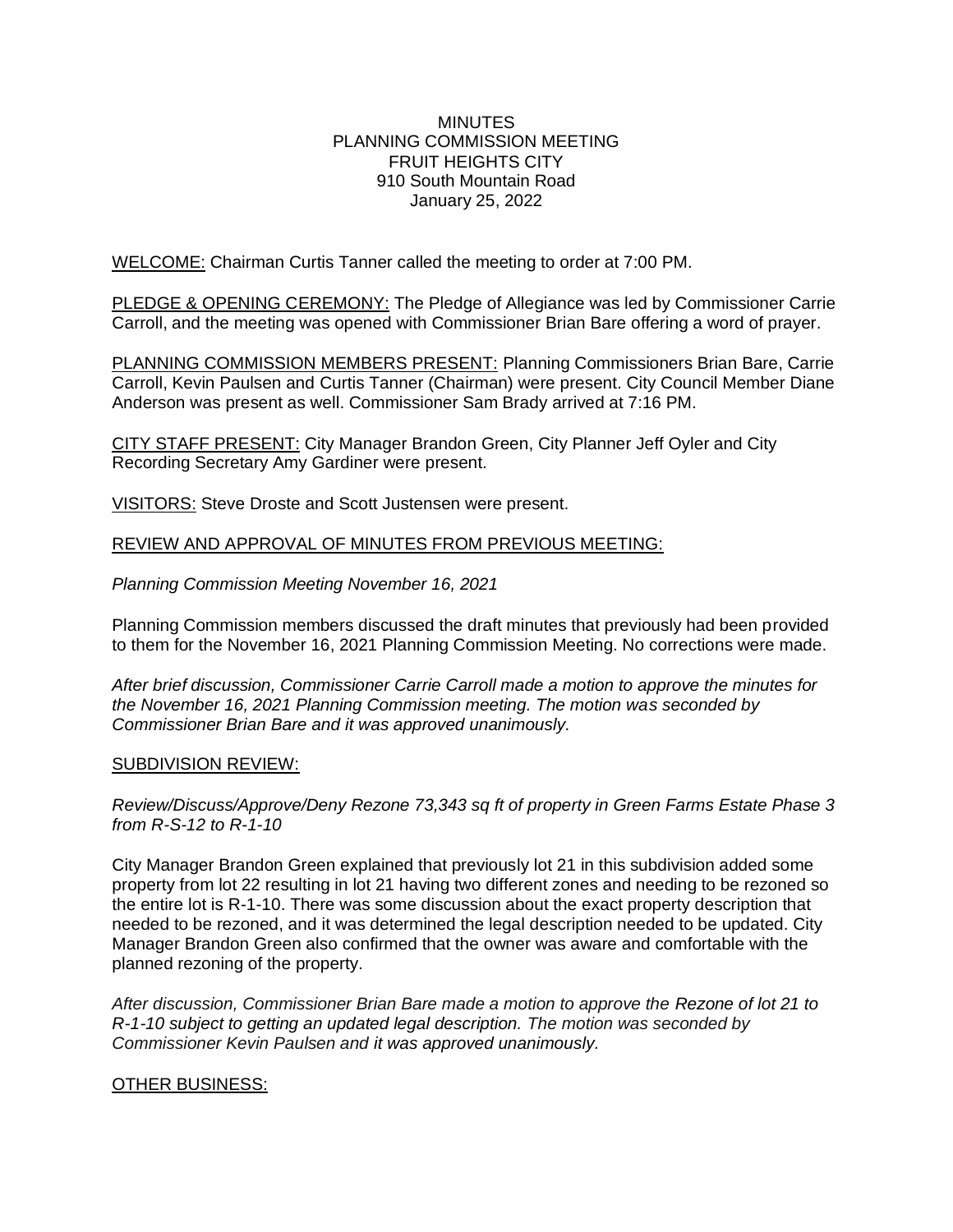#### **MINUTES** PLANNING COMMISSION MEETING FRUIT HEIGHTS CITY 910 South Mountain Road January 25, 2022

WELCOME: Chairman Curtis Tanner called the meeting to order at 7:00 PM.

PLEDGE & OPENING CEREMONY: The Pledge of Allegiance was led by Commissioner Carrie Carroll, and the meeting was opened with Commissioner Brian Bare offering a word of prayer.

PLANNING COMMISSION MEMBERS PRESENT: Planning Commissioners Brian Bare, Carrie Carroll, Kevin Paulsen and Curtis Tanner (Chairman) were present. City Council Member Diane Anderson was present as well. Commissioner Sam Brady arrived at 7:16 PM.

CITY STAFF PRESENT: City Manager Brandon Green, City Planner Jeff Oyler and City Recording Secretary Amy Gardiner were present.

VISITORS: Steve Droste and Scott Justensen were present.

#### REVIEW AND APPROVAL OF MINUTES FROM PREVIOUS MEETING:

*Planning Commission Meeting November 16, 2021*

Planning Commission members discussed the draft minutes that previously had been provided to them for the November 16, 2021 Planning Commission Meeting. No corrections were made.

*After brief discussion, Commissioner Carrie Carroll made a motion to approve the minutes for the November 16, 2021 Planning Commission meeting. The motion was seconded by Commissioner Brian Bare and it was approved unanimously.*

#### SUBDIVISION REVIEW:

*Review/Discuss/Approve/Deny Rezone 73,343 sq ft of property in Green Farms Estate Phase 3 from R-S-12 to R-1-10*

City Manager Brandon Green explained that previously lot 21 in this subdivision added some property from lot 22 resulting in lot 21 having two different zones and needing to be rezoned so the entire lot is R-1-10. There was some discussion about the exact property description that needed to be rezoned, and it was determined the legal description needed to be updated. City Manager Brandon Green also confirmed that the owner was aware and comfortable with the planned rezoning of the property.

*After discussion, Commissioner Brian Bare made a motion to approve the Rezone of lot 21 to R-1-10 subject to getting an updated legal description. The motion was seconded by Commissioner Kevin Paulsen and it was approved unanimously.*

## OTHER BUSINESS: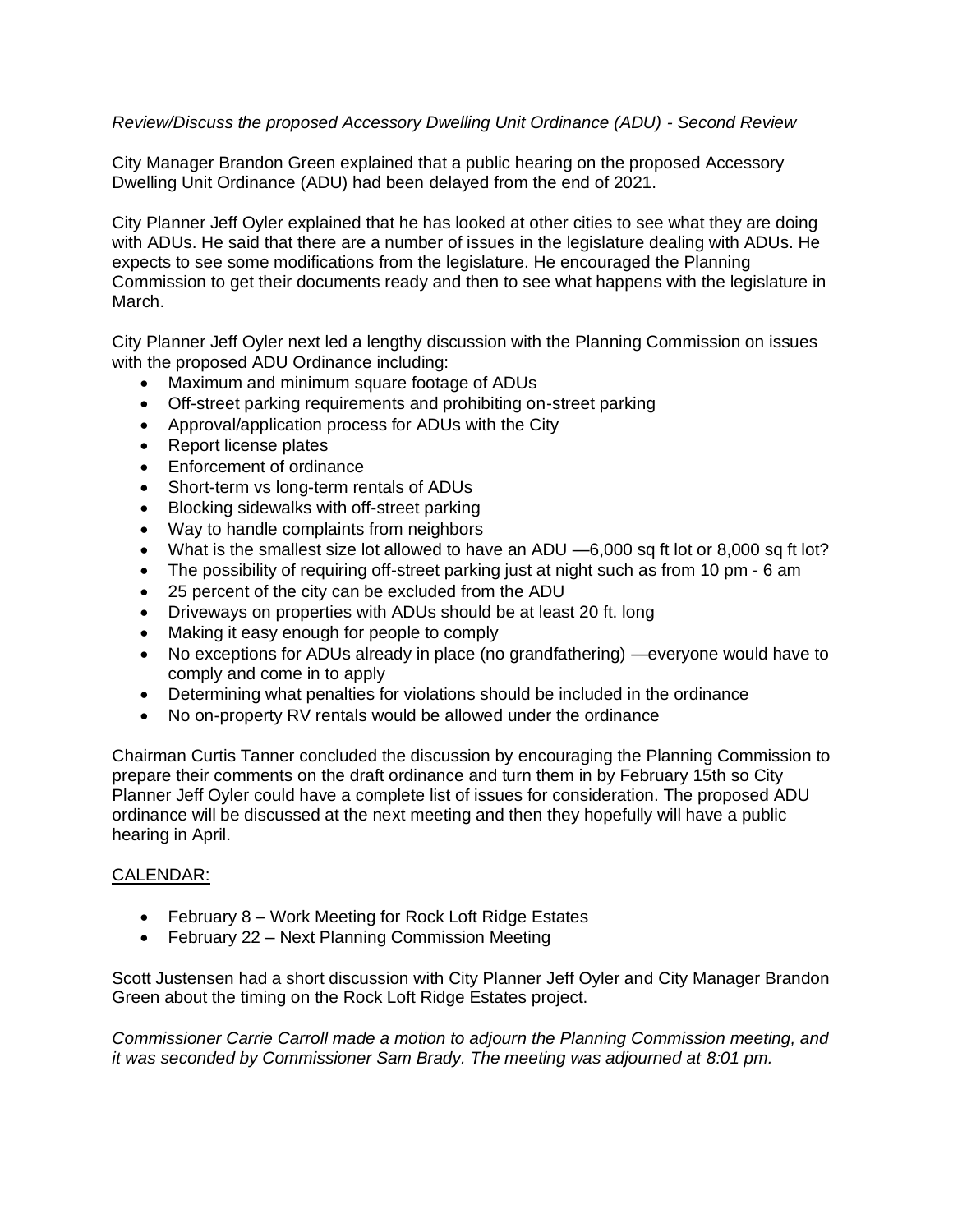## *Review/Discuss the proposed Accessory Dwelling Unit Ordinance (ADU) - Second Review*

City Manager Brandon Green explained that a public hearing on the proposed Accessory Dwelling Unit Ordinance (ADU) had been delayed from the end of 2021.

City Planner Jeff Oyler explained that he has looked at other cities to see what they are doing with ADUs. He said that there are a number of issues in the legislature dealing with ADUs. He expects to see some modifications from the legislature. He encouraged the Planning Commission to get their documents ready and then to see what happens with the legislature in March.

City Planner Jeff Oyler next led a lengthy discussion with the Planning Commission on issues with the proposed ADU Ordinance including:

- Maximum and minimum square footage of ADUs
- Off-street parking requirements and prohibiting on-street parking
- Approval/application process for ADUs with the City
- Report license plates
- Enforcement of ordinance
- Short-term vs long-term rentals of ADUs
- Blocking sidewalks with off-street parking
- Way to handle complaints from neighbors
- What is the smallest size lot allowed to have an ADU —6,000 sq ft lot or 8,000 sq ft lot?
- The possibility of requiring off-street parking just at night such as from 10 pm 6 am
- 25 percent of the city can be excluded from the ADU
- Driveways on properties with ADUs should be at least 20 ft. long
- Making it easy enough for people to comply
- No exceptions for ADUs already in place (no grandfathering) —everyone would have to comply and come in to apply
- Determining what penalties for violations should be included in the ordinance
- No on-property RV rentals would be allowed under the ordinance

Chairman Curtis Tanner concluded the discussion by encouraging the Planning Commission to prepare their comments on the draft ordinance and turn them in by February 15th so City Planner Jeff Oyler could have a complete list of issues for consideration. The proposed ADU ordinance will be discussed at the next meeting and then they hopefully will have a public hearing in April.

## CALENDAR:

- February 8 Work Meeting for Rock Loft Ridge Estates
- February 22 Next Planning Commission Meeting

Scott Justensen had a short discussion with City Planner Jeff Oyler and City Manager Brandon Green about the timing on the Rock Loft Ridge Estates project.

*Commissioner Carrie Carroll made a motion to adjourn the Planning Commission meeting, and it was seconded by Commissioner Sam Brady. The meeting was adjourned at 8:01 pm.*